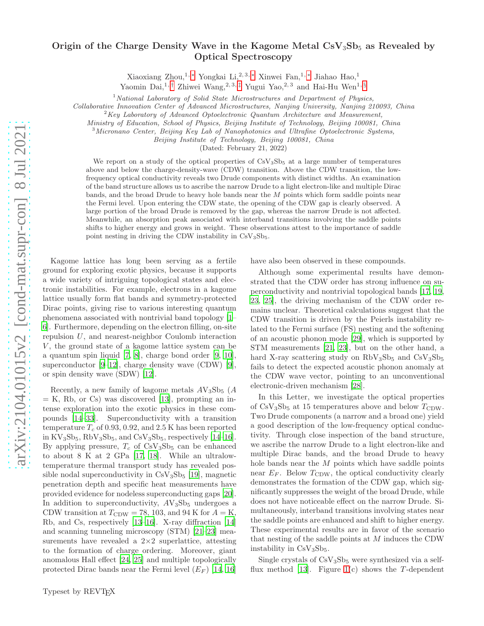## Origin of the Charge Density Wave in the Kagome Metal  $CsV<sub>3</sub>Sb<sub>5</sub>$  as Revealed by Optical Spectroscopy

Xiaoxiang Zhou,<sup>1,\*</sup> Yongkai Li,<sup>2,3,\*</sup> Xinwei Fan,<sup>1,\*</sup> Jiahao Hao,<sup>1</sup>

Yaomin Dai, $^{1, +}$  Zhiwei Wang, $^{2,3, +}$  Yugui Yao, $^{2,3}$  and Hai-Hu Wen<sup>1, [§](#page-4-3)</sup>

 $1$ National Laboratory of Solid State Microstructures and Department of Physics,

Collaborative Innovation Center of Advanced Microstructures, Nanjing University, Nanjing 210093, China

 $2Key Laboratory of Advanced Optoelectronic Quantum Architecture and Measurement,$ 

Ministry of Education, School of Physics, Beijing Institute of Technology, Beijing 100081, China

 $3$ Micronano Center, Beijing Key Lab of Nanophotonics and Ultrafine Optoelectronic Systems,

Beijing Institute of Technology, Beijing 100081, China

(Dated: February 21, 2022)

We report on a study of the optical properties of  $CsV<sub>3</sub>Sb<sub>5</sub>$  at a large number of temperatures above and below the charge-density-wave (CDW) transition. Above the CDW transition, the lowfrequency optical conductivity reveals two Drude components with distinct widths. An examination of the band structure allows us to ascribe the narrow Drude to a light electron-like and multiple Dirac bands, and the broad Drude to heavy hole bands near the  $M$  points which form saddle points near the Fermi level. Upon entering the CDW state, the opening of the CDW gap is clearly observed. A large portion of the broad Drude is removed by the gap, whereas the narrow Drude is not affected. Meanwhile, an absorption peak associated with interband transitions involving the saddle points shifts to higher energy and grows in weight. These observations attest to the importance of saddle point nesting in driving the CDW instability in  $CsV<sub>3</sub>Sb<sub>5</sub>$ .

Kagome lattice has long been serving as a fertile ground for exploring exotic physics, because it supports a wide variety of intriguing topological states and electronic instabilities. For example, electrons in a kagome lattice usually form flat bands and symmetry-protected Dirac points, giving rise to various interesting quantum phenomena associated with nontrivial band topology [\[1](#page-4-4)– [6](#page-4-5)]. Furthermore, depending on the electron filling, on-site repulsion U, and nearest-neighbor Coulomb interaction  $V$ , the ground state of a kagome lattice system can be a quantum spin liquid [\[7,](#page-4-6) [8](#page-4-7)], charge bond order [\[9,](#page-4-8) [10\]](#page-4-9), superconductor  $[9-12]$ , charge density wave  $(CDW)$  [\[9](#page-4-8)], or spin density wave (SDW) [\[12\]](#page-4-10).

Recently, a new family of kagome metals  $AV_3Sb_5$  (A  $= K$ , Rb, or Cs) was discovered [\[13\]](#page-4-11), prompting an intense exploration into the exotic physics in these compounds [\[14](#page-4-12)[–33\]](#page-5-0). Superconductivity with a transition temperature  $T_c$  of 0.93, 0.92, and 2.5 K has been reported in  $\rm KV_3Sb_5, \rm RbV_3Sb_5, \rm and \, CsV_3Sb_5, \rm respectively$  [\[14](#page-4-12)[–16\]](#page-4-13). By applying pressure,  $T_c$  of  $CsV_3Sb_5$  can be enhanced to about 8 K at 2 GPa [\[17](#page-4-14), [18\]](#page-4-15). While an ultralowtemperature thermal transport study has revealed possible nodal superconductivity in  $CsV<sub>3</sub>Sb<sub>5</sub>$  [\[19](#page-4-16)], magnetic penetration depth and specific heat measurements have provided evidence for nodeless superconducting gaps [\[20\]](#page-4-17). In addition to superconductivity,  $AV_3Sb_5$  undergoes a CDW transition at  $T_{CDW} = 78, 103,$  and 94 K for  $A = K$ , Rb, and Cs, respectively [\[13](#page-4-11)[–16\]](#page-4-13). X-ray diffraction [\[14](#page-4-12)] and scanning tunneling microscopy (STM) [\[21](#page-4-18)[–23\]](#page-4-19) measurements have revealed a  $2\times 2$  superlattice, attesting to the formation of charge ordering. Moreover, giant anomalous Hall effect [\[24,](#page-4-20) [25\]](#page-4-21) and multiple topologically protected Dirac bands near the Fermi level  $(E_F)$  [\[14,](#page-4-12) [16](#page-4-13)]

have also been observed in these compounds.

Although some experimental results have demonstrated that the CDW order has strong influence on superconductivity and nontrivial topological bands [\[17,](#page-4-14) [19](#page-4-16), [23,](#page-4-19) [25\]](#page-4-21), the driving mechanism of the CDW order remains unclear. Theoretical calculations suggest that the CDW transition is driven by the Peierls instability related to the Fermi surface (FS) nesting and the softening of an acoustic phonon mode [\[29\]](#page-5-1), which is supported by STM measurements [\[21,](#page-4-18) [23\]](#page-4-19), but on the other hand, a hard X-ray scattering study on  $RbV_3Sb_5$  and  $CsV_3Sb_5$ fails to detect the expected acoustic phonon anomaly at the CDW wave vector, pointing to an unconventional electronic-driven mechanism [\[28](#page-5-2)].

In this Letter, we investigate the optical properties of  $CsV_3Sb_5$  at 15 temperatures above and below  $T_{CDW}$ . Two Drude components (a narrow and a broad one) yield a good description of the low-frequency optical conductivity. Through close inspection of the band structure, we ascribe the narrow Drude to a light electron-like and multiple Dirac bands, and the broad Drude to heavy hole bands near the  $M$  points which have saddle points near  $E_F$ . Below  $T_{CDW}$ , the optical conductivity clearly demonstrates the formation of the CDW gap, which significantly suppresses the weight of the broad Drude, while does not have noticeable effect on the narrow Drude. Simultaneously, interband transitions involving states near the saddle points are enhanced and shift to higher energy. These experimental results are in favor of the scenario that nesting of the saddle points at  $M$  induces the CDW instability in  $CsV<sub>3</sub>Sb<sub>5</sub>$ .

Single crystals of  $CsV<sub>3</sub>Sb<sub>5</sub>$  were synthesized via a self-flux method [\[13\]](#page-4-11). Figure  $1(c)$  shows the T-dependent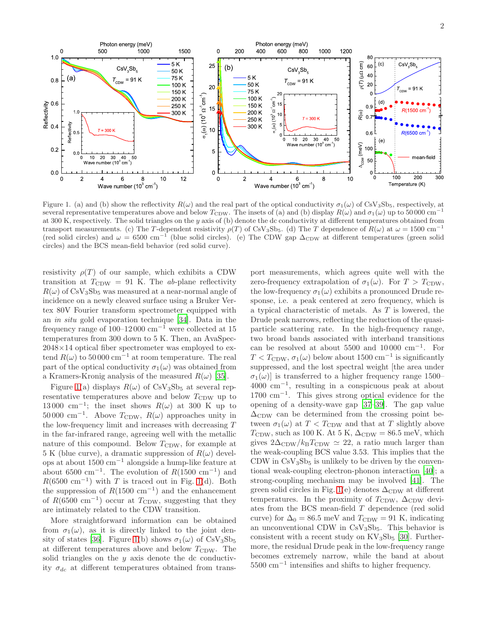

<span id="page-1-0"></span>Figure 1. (a) and (b) show the reflectivity  $R(\omega)$  and the real part of the optical conductivity  $\sigma_1(\omega)$  of CsV<sub>3</sub>Sb<sub>5</sub>, respectively, at several representative temperatures above and below  $T_{CDW}$ . The insets of (a) and (b) display  $R(\omega)$  and  $\sigma_1(\omega)$  up to 50 000 cm<sup>-</sup> at 300 K, respectively. The solid triangles on the y axis of (b) denote the dc conductivity at different temperatures obtained from transport measurements. (c) The T-dependent resistivity  $\rho(T)$  of CsV<sub>3</sub>Sb<sub>5</sub>. (d) The T dependence of  $R(\omega)$  at  $\omega = 1500$  cm<sup>-1</sup> (red solid circles) and  $\omega = 6500 \text{ cm}^{-1}$  (blue solid circles). (e) The CDW gap  $\Delta_{CDW}$  at different temperatures (green solid circles) and the BCS mean-field behavior (red solid curve).

resistivity  $\rho(T)$  of our sample, which exhibits a CDW transition at  $T_{CDW} = 91$  K. The ab-plane reflectivity  $R(\omega)$  of CsV<sub>3</sub>Sb<sub>5</sub> was measured at a near-normal angle of incidence on a newly cleaved surface using a Bruker Vertex 80V Fourier transform spectrometer equipped with an in situ gold evaporation technique [\[34\]](#page-5-3). Data in the frequency range of  $100-12000$  cm<sup>-1</sup> were collected at 15 temperatures from 300 down to 5 K. Then, an AvaSpec-2048×14 optical fiber spectrometer was employed to extend  $R(\omega)$  to 50 000 cm<sup>-1</sup> at room temperature. The real part of the optical conductivity  $\sigma_1(\omega)$  was obtained from a Kramers-Kronig analysis of the measured  $R(\omega)$  [\[35\]](#page-5-4).

Figure [1\(](#page-1-0)a) displays  $R(\omega)$  of CsV<sub>3</sub>Sb<sub>5</sub> at several representative temperatures above and below  $T_{CDW}$  up to 13 000 cm<sup>-1</sup>; the inset shows  $R(\omega)$  at 300 K up to  $50000 \text{ cm}^{-1}$ . Above  $T_{\text{CDW}}$ ,  $R(\omega)$  approaches unity in the low-frequency limit and increases with decreasing T in the far-infrared range, agreeing well with the metallic nature of this compound. Below  $T_{CDW}$ , for example at 5 K (blue curve), a dramatic suppression of  $R(\omega)$  develops at about 1500 cm−<sup>1</sup> alongside a hump-like feature at about 6500 cm<sup>-1</sup>. The evolution of  $R(1500 \text{ cm}^{-1})$  and  $R(6500 \text{ cm}^{-1})$  with T is traced out in Fig. [1\(](#page-1-0)d). Both the suppression of  $R(1500 \text{ cm}^{-1})$  and the enhancement of  $R(6500 \text{ cm}^{-1})$  occur at  $T_{\text{CDW}}$ , suggesting that they are intimately related to the CDW transition.

More straightforward information can be obtained from  $\sigma_1(\omega)$ , as it is directly linked to the joint den-sity of states [\[36\]](#page-5-5). Figure [1\(](#page-1-0)b) shows  $\sigma_1(\omega)$  of CsV<sub>3</sub>Sb<sub>5</sub> at different temperatures above and below  $T_{CDW}$ . The solid triangles on the  $y$  axis denote the dc conductivity  $\sigma_{dc}$  at different temperatures obtained from trans-

port measurements, which agrees quite well with the zero-frequency extrapolation of  $\sigma_1(\omega)$ . For  $T > T_{\text{CDW}}$ , the low-frequency  $\sigma_1(\omega)$  exhibits a pronounced Drude response, i.e. a peak centered at zero frequency, which is a typical characteristic of metals. As T is lowered, the Drude peak narrows, reflecting the reduction of the quasiparticle scattering rate. In the high-frequency range, two broad bands associated with interband transitions can be resolved at about  $5500$  and  $10000$  cm<sup>-1</sup>. For  $T < T<sub>CDW</sub>, \sigma_1(\omega)$  below about 1500 cm<sup>-1</sup> is significantly suppressed, and the lost spectral weight [the area under  $\sigma_1(\omega)$  is transferred to a higher frequency range 1500– 4000 cm<sup>−</sup><sup>1</sup> , resulting in a conspicuous peak at about 1700 cm<sup>−</sup><sup>1</sup> . This gives strong optical evidence for the opening of a density-wave gap [\[37](#page-5-6)[–39\]](#page-5-7). The gap value  $\Delta$ <sub>CDW</sub> can be determined from the crossing point between  $\sigma_1(\omega)$  at  $T < T_{CDW}$  and that at T slightly above  $T_{\text{CDW}}$ , such as 100 K. At 5 K,  $\Delta_{\text{CDW}} = 86.5 \text{ meV}$ , which gives  $2\Delta_{CDW}/k_BT_{CDW} \simeq 22$ , a ratio much larger than the weak-coupling BCS value 3.53. This implies that the CDW in  $CsV_3Sb_5$  is unlikely to be driven by the conventional weak-coupling electron-phonon interaction [\[40\]](#page-5-8); a strong-coupling mechanism may be involved [\[41\]](#page-5-9). The green solid circles in Fig. [1\(](#page-1-0)e) denotes  $\Delta_{CDW}$  at different temperatures. In the proximity of  $T_{CDW}$ ,  $\Delta_{CDW}$  deviates from the BCS mean-field T dependence (red solid curve) for  $\Delta_0 = 86.5$  meV and  $T_{CDW} = 91$  K, indicating an unconventional CDW in  $CsV_3Sb_5$ . This behavior is consistent with a recent study on  $\rm KV_3Sb_5$  [\[30\]](#page-5-10). Furthermore, the residual Drude peak in the low-frequency range becomes extremely narrow, while the band at about 5500 cm<sup>−</sup><sup>1</sup> intensifies and shifts to higher frequency.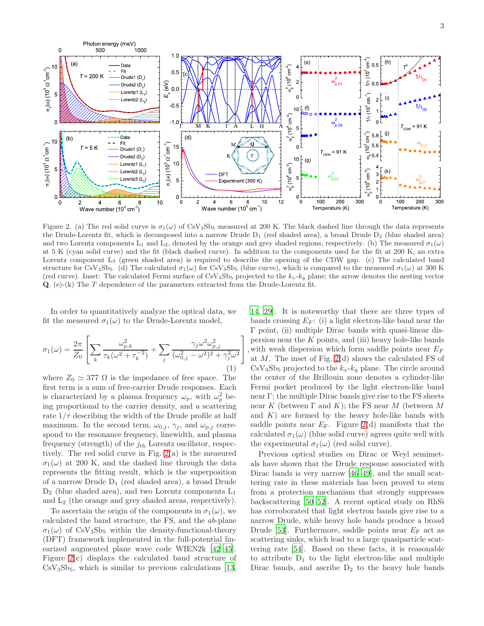

<span id="page-2-0"></span>Figure 2. (a) The red solid curve is  $\sigma_1(\omega)$  of CsV<sub>3</sub>Sb<sub>5</sub> measured at 200 K. The black dashed line through the data represents the Drude-Lorentz fit, which is decomposed into a narrow Drude  $D_1$  (red shaded area), a broad Drude  $D_2$  (blue shaded area) and two Lorentz components L<sub>1</sub> and L<sub>2</sub>, denoted by the orange and grey shaded regions, respectively. (b) The measured  $\sigma_1(\omega)$ at 5 K (cyan solid curve) and the fit (black dashed curve). In addition to the components used for the fit at 200 K, an extra Lorentz component L<sub>3</sub> (green shaded area) is required to describe the opening of the CDW gap. (c) The calculated band structure for CsV<sub>3</sub>Sb<sub>5</sub>. (d) The calculated  $\sigma_1(\omega)$  for CsV<sub>3</sub>Sb<sub>5</sub> (blue curve), which is compared to the measured  $\sigma_1(\omega)$  at 300 K (red curve). Inset: The calculated Fermi surface of  $\text{CsV}_3\text{Sb}_5$  projected to the  $k_x-k_y$  plane; the arrow denotes the nesting vector Q. (e)-(k) The T dependence of the parameters extracted from the Drude-Lorentz fit.

In order to quantitatively analyze the optical data, we fit the measured  $\sigma_1(\omega)$  to the Drude-Lorentz model,

$$
\sigma_1(\omega) = \frac{2\pi}{Z_0} \left[ \sum_k \frac{\omega_{p,k}^2}{\tau_k(\omega^2 + \tau_k^{-2})} + \sum_j \frac{\gamma_j \omega^2 \omega_{p,j}^2}{(\omega_{0,j}^2 - \omega^2)^2 + \gamma_j^2 \omega^2} \right],
$$
\n(1)

where  $Z_0 \simeq 377 \Omega$  is the impedance of free space. The first term is a sum of free-carrier Drude responses. Each is characterized by a plasma frequency  $\omega_p$ , with  $\omega_p^2$  being proportional to the carrier density, and a scattering rate  $1/\tau$  describing the width of the Drude profile at half maximum. In the second term,  $\omega_{0,j}$ ,  $\gamma_j$ , and  $\omega_{p,j}$  correspond to the resonance frequency, linewidth, and plasma frequency (strength) of the  $j<sub>th</sub>$  Lorentz oscillator, respectively. The red solid curve in Fig. [2\(](#page-2-0)a) is the measured  $\sigma_1(\omega)$  at 200 K, and the dashed line through the data represents the fitting result, which is the superposition of a narrow Drude  $D_1$  (red shaded area), a broad Drude  $D_2$  (blue shaded area), and two Lorentz components  $L_1$ and  $L_2$  (the orange and grey shaded areas, respectively).

To ascertain the origin of the components in  $\sigma_1(\omega)$ , we calculated the band structure, the FS, and the ab-plane  $\sigma_1(\omega)$  of CsV<sub>3</sub>Sb<sub>5</sub> within the density-functional-theory (DFT) framework implemented in the full-potential linearized augmented plane wave code WIEN2k [\[42](#page-5-11)[–45\]](#page-5-12). Figure [2\(](#page-2-0)c) displays the calculated band structure of  $CsV<sub>3</sub>Sb<sub>5</sub>$ , which is similar to previous calculations [\[13](#page-4-11),

[14](#page-4-12), [29](#page-5-1)]. It is noteworthy that there are three types of bands crossing  $E_F$ : (i) a light electron-like band near the Γ point, (ii) multiple Dirac bands with quasi-linear dispersion near the  $K$  points, and (iii) heavy hole-like bands with weak dispersion which form saddle points near  $E_F$ at M. The inset of Fig. [2\(](#page-2-0)d) shows the calculated FS of  $CsV<sub>3</sub>Sb<sub>5</sub>$  projected to the  $k_x-k_y$  plane. The circle around the center of the Brillouin zone denotes a cylinder-like Fermi pocket produced by the light electron-like band near Γ; the multiple Dirac bands give rise to the FS sheets near K (between  $\Gamma$  and K); the FS near M (between M and  $K$ ) are formed by the heavy hole-like bands with saddle points near  $E_F$ . Figure [2\(](#page-2-0)d) manifests that the calculated  $\sigma_1(\omega)$  (blue solid curve) agrees quite well with the experimental  $\sigma_1(\omega)$  (red solid curve).

Previous optical studies on Dirac or Weyl semimetals have shown that the Drude response associated with Dirac bands is very narrow [\[46](#page-5-13)[–49](#page-5-14)], and the small scattering rate in these materials has been proved to stem from a protection mechanism that strongly suppresses backscattering [\[50](#page-5-15)[–52](#page-5-16)]. A recent optical study on RhSi has corroborated that light electron bands give rise to a narrow Drude, while heavy hole bands produce a broad Drude [\[53\]](#page-5-17). Furthermore, saddle points near  $E_F$  act as scattering sinks, which lead to a large quasiparticle scattering rate [\[54](#page-5-18)]. Based on these facts, it is reasonable to attribute  $D_1$  to the light electron-like and multiple Dirac bands, and ascribe  $D_2$  to the heavy hole bands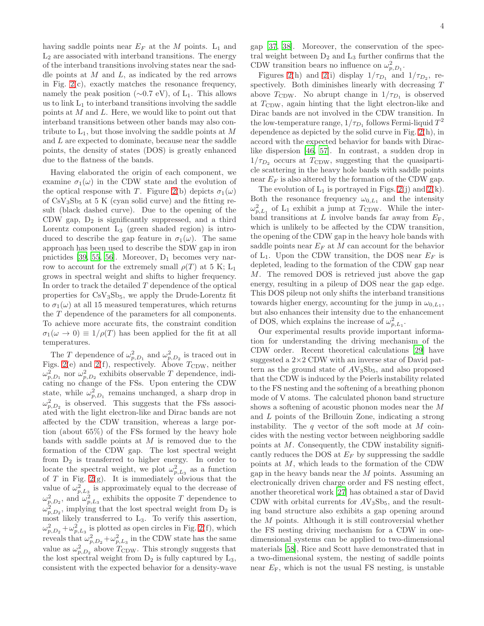having saddle points near  $E_F$  at the M points.  $L_1$  and  $L_2$  are associated with interband transitions. The energy of the interband transitions involving states near the saddle points at  $M$  and  $L$ , as indicated by the red arrows in Fig. [2\(](#page-2-0)c), exactly matches the resonance frequency, namely the peak position ( $\sim$ 0.7 eV), of L<sub>1</sub>. This allows us to link  $L_1$  to interband transitions involving the saddle points at M and L. Here, we would like to point out that interband transitions between other bands may also contribute to  $L_1$ , but those involving the saddle points at M and L are expected to dominate, because near the saddle points, the density of states (DOS) is greatly enhanced due to the flatness of the bands.

Having elaborated the origin of each component, we examine  $\sigma_1(\omega)$  in the CDW state and the evolution of the optical response with T. Figure [2\(](#page-2-0)b) depicts  $\sigma_1(\omega)$ of  $CsV_3Sb_5$  at 5 K (cyan solid curve) and the fitting result (black dashed curve). Due to the opening of the CDW gap,  $D_2$  is significantly suppressed, and a third Lorentz component  $L_3$  (green shaded region) is introduced to describe the gap feature in  $\sigma_1(\omega)$ . The same approach has been used to describe the SDW gap in iron pnictides [\[39,](#page-5-7) [55](#page-5-19), [56](#page-5-20)]. Moreover,  $D_1$  becomes very narrow to account for the extremely small  $\rho(T)$  at 5 K; L<sub>1</sub> grows in spectral weight and shifts to higher frequency. In order to track the detailed  $T$  dependence of the optical properties for  $CsV<sub>3</sub>Sb<sub>5</sub>$ , we apply the Drude-Lorentz fit to  $\sigma_1(\omega)$  at all 15 measured temperatures, which returns the T dependence of the parameters for all components. To achieve more accurate fits, the constraint condition  $\sigma_1(\omega \to 0) \equiv 1/\rho(T)$  has been applied for the fit at all temperatures.

The T dependence of  $\omega_{p,D_1}^2$  and  $\omega_{p,D_2}^2$  is traced out in Figs. [2\(](#page-2-0)e) and 2(f), respectively. Above  $T_{CDW}$ , neither  $\omega_{p,D_1}^2$  nor  $\omega_{p,D_2}^2$  exhibits observable T dependence, indicating no change of the FSs. Upon entering the CDW state, while  $\omega_{p,D_1}^2$  remains unchanged, a sharp drop in  $\omega_{p,D_2}^2$  is observed. This suggests that the FSs associated with the light electron-like and Dirac bands are not affected by the CDW transition, whereas a large portion (about 65%) of the FSs formed by the heavy hole bands with saddle points at  $M$  is removed due to the formation of the CDW gap. The lost spectral weight from  $D_2$  is transferred to higher energy. In order to locate the spectral weight, we plot  $\omega_{p,L_3}^2$  as a function of T in Fig. [2\(](#page-2-0)g). It is immediately obvious that the value of  $\omega_{p,L_3}^2$  is approximately equal to the decrease of  $\omega_{p,D_2}^2$ , and  $\omega_{p,L_3}^2$  exhibits the opposite T dependence to  $\omega_{p,D_2}^2$ , implying that the lost spectral weight from  $D_2$  is most likely transferred to L3. To verify this assertion,  $\omega_{p,D_2}^2 + \omega_{p,L_3}^2$  is plotted as open circles in Fig. [2\(](#page-2-0)f), which reveals that  $\omega_{p,D_2}^2 + \omega_{p,L_3}^2$  in the CDW state has the same value as  $\omega_{p,D_2}^2$  above  $T_{\text{CDW}}$ . This strongly suggests that the lost spectral weight from  $D_2$  is fully captured by  $L_3$ , consistent with the expected behavior for a density-wave gap [\[37](#page-5-6), [38\]](#page-5-21). Moreover, the conservation of the spectral weight between  $D_2$  and  $L_3$  further confirms that the

CDW transition bears no influence on  $\omega_{p,D_1}^2$ . Figures [2\(](#page-2-0)h) and 2(i) display  $1/\tau_{D_1}$  and  $1/\tau_{D_2}$ , respectively. Both diminishes linearly with decreasing T above  $T_{CDW}$ . No abrupt change in  $1/\tau_{D_1}$  is observed at  $T<sub>CDW</sub>$ , again hinting that the light electron-like and Dirac bands are not involved in the CDW transition. In the low-temperature range,  $1/\tau_{D_1}$  follows Fermi-liquid  $T^2$ dependence as depicted by the solid curve in Fig. [2\(](#page-2-0)h), in accord with the expected behavior for bands with Diraclike dispersion [\[46](#page-5-13), [57\]](#page-5-22). In contrast, a sudden drop in  $1/\tau_{D_2}$  occurs at  $T_{CDW}$ , suggesting that the quasiparticle scattering in the heavy hole bands with saddle points near  $E_F$  is also altered by the formation of the CDW gap.

The evolution of  $L_1$  is portrayed in Figs. [2\(](#page-2-0)j) and 2(k). Both the resonance frequency  $\omega_{0,L_1}$  and the intensity  $\omega_{p,L_1}^2$  of L<sub>1</sub> exhibit a jump at T<sub>CDW</sub>. While the interband transitions at L involve bands far away from  $E_F$ , which is unlikely to be affected by the CDW transition, the opening of the CDW gap in the heavy hole bands with saddle points near  $E_F$  at M can account for the behavior of  $L_1$ . Upon the CDW transition, the DOS near  $E_F$  is depleted, leading to the formation of the CDW gap near M. The removed DOS is retrieved just above the gap energy, resulting in a pileup of DOS near the gap edge. This DOS pileup not only shifts the interband transitions towards higher energy, accounting for the jump in  $\omega_{0,L_1}$ , but also enhances their intensity due to the enhancement of DOS, which explains the increase of  $\omega_{p,L_1}^2$ .

Our experimental results provide important information for understanding the driving mechanism of the CDW order. Recent theoretical calculations [\[29\]](#page-5-1) have suggested a  $2\times2$  CDW with an inverse star of David pattern as the ground state of  $AV_3Sb_5$ , and also proposed that the CDW is induced by the Peierls instability related to the FS nesting and the softening of a breathing phonon mode of V atoms. The calculated phonon band structure shows a softening of acoustic phonon modes near the M and L points of the Brillouin Zone, indicating a strong instability. The  $q$  vector of the soft mode at  $M$  coincides with the nesting vector between neighboring saddle points at M. Consequently, the CDW instability significantly reduces the DOS at  $E_F$  by suppressing the saddle points at M, which leads to the formation of the CDW gap in the heavy bands near the  $M$  points. Assuming an electronically driven charge order and FS nesting effect, another theoretical work [\[27](#page-5-23)] has obtained a star of David CDW with orbital currents for  $AV_3Sb_5$ , and the resulting band structure also exhibits a gap opening around the M points. Although it is still controversial whether the FS nesting driving mechanism for a CDW in onedimensional systems can be applied to two-dimensional materials [\[58\]](#page-5-24), Rice and Scott have demonstrated that in a two-dimensional system, the nesting of saddle points near  $E_F$ , which is not the usual FS nesting, is unstable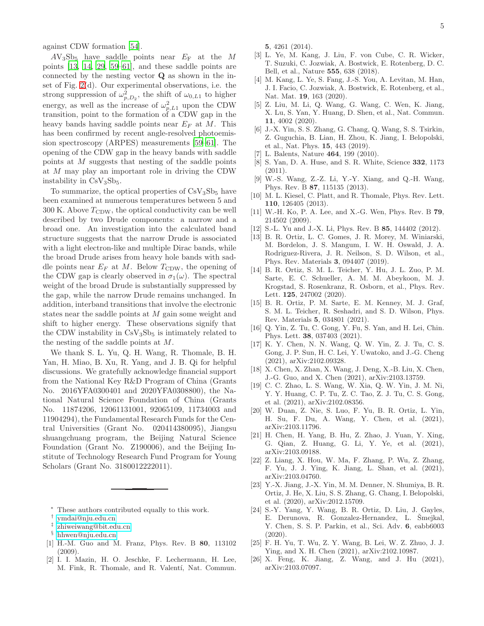against CDW formation [\[54\]](#page-5-18).

 $AV_3Sb_5$  have saddle points near  $E_F$  at the M points [\[13,](#page-4-11) [14](#page-4-12), [29,](#page-5-1) [59](#page-5-25)[–61\]](#page-5-26), and these saddle points are connected by the nesting vector Q as shown in the inset of Fig. [2\(](#page-2-0)d). Our experimental observations, i.e. the strong suppression of  $\omega_{p,D_2}^2$ , the shift of  $\omega_{0,L_1}$  to higher energy, as well as the increase of  $\omega_{p,L1}^2$  upon the CDW transition, point to the formation of a CDW gap in the heavy bands having saddle points near  $E_F$  at M. This has been confirmed by recent angle-resolved photoemission spectroscopy (ARPES) measurements [\[59](#page-5-25)[–61](#page-5-26)]. The opening of the CDW gap in the heavy bands with saddle points at M suggests that nesting of the saddle points at M may play an important role in driving the CDW instability in  $CsV<sub>3</sub>Sb<sub>5</sub>$ .

To summarize, the optical properties of  $CsV<sub>3</sub>Sb<sub>5</sub>$  have been examined at numerous temperatures between 5 and 300 K. Above  $T_{CDW}$ , the optical conductivity can be well described by two Drude components: a narrow and a broad one. An investigation into the calculated band structure suggests that the narrow Drude is associated with a light electron-like and multiple Dirac bands, while the broad Drude arises from heavy hole bands with saddle points near  $E_F$  at M. Below  $T_{CDW}$ , the opening of the CDW gap is clearly observed in  $\sigma_1(\omega)$ . The spectral weight of the broad Drude is substantially suppressed by the gap, while the narrow Drude remains unchanged. In addition, interband transitions that involve the electronic states near the saddle points at M gain some weight and shift to higher energy. These observations signify that the CDW instability in  $CsV<sub>3</sub>Sb<sub>5</sub>$  is intimately related to the nesting of the saddle points at M.

We thank S. L. Yu, Q. H. Wang, R. Thomale, B. H. Yan, H. Miao, B. Xu, R. Yang, and J. B. Qi for helpful discussions. We gratefully acknowledge financial support from the National Key R&D Program of China (Grants No. 2016YFA0300401 and 2020YFA0308800), the National Natural Science Foundation of China (Grants No. 11874206, 12061131001, 92065109, 11734003 and 11904294), the Fundamental Research Funds for the Central Universities (Grant No. 020414380095), Jiangsu shuangchuang program, the Beijing Natural Science Foundation (Grant No. Z190006), and the Beijing Institute of Technology Research Fund Program for Young Scholars (Grant No. 3180012222011).

- These authors contributed equally to this work.
- <span id="page-4-0"></span>† [ymdai@nju.edu.cn](mailto:ymdai@nju.edu.cn)
- <span id="page-4-1"></span>‡ [zhiweiwang@bit.edu.cn](mailto:zhiweiwang@bit.edu.cn)
- <span id="page-4-2"></span>§ [hhwen@nju.edu.cn](mailto:hhwen@nju.edu.cn)
- <span id="page-4-4"></span><span id="page-4-3"></span>[1] H.-M. Guo and M. Franz, Phys. Rev. B 80, 113102 (2009).
- [2] I. I. Mazin, H. O. Jeschke, F. Lechermann, H. Lee, M. Fink, R. Thomale, and R. Valentí, Nat. Commun.

5, 4261 (2014).

- [3] L. Ye, M. Kang, J. Liu, F. von Cube, C. R. Wicker, T. Suzuki, C. Jozwiak, A. Bostwick, E. Rotenberg, D. C. Bell, et al., Nature 555, 638 (2018).
- [4] M. Kang, L. Ye, S. Fang, J.-S. You, A. Levitan, M. Han, J. I. Facio, C. Jozwiak, A. Bostwick, E. Rotenberg, et al., Nat. Mat. 19, 163 (2020).
- [5] Z. Liu, M. Li, Q. Wang, G. Wang, C. Wen, K. Jiang, X. Lu, S. Yan, Y. Huang, D. Shen, et al., Nat. Commun. 11, 4002 (2020).
- <span id="page-4-5"></span>[6] J.-X. Yin, S. S. Zhang, G. Chang, Q. Wang, S. S. Tsirkin, Z. Guguchia, B. Lian, H. Zhou, K. Jiang, I. Belopolski, et al., Nat. Phys. 15, 443 (2019).
- <span id="page-4-6"></span>L. Balents, Nature 464, 199 (2010).
- <span id="page-4-7"></span>[8] S. Yan, D. A. Huse, and S. R. White, Science 332, 1173 (2011).
- <span id="page-4-8"></span>[9] W.-S. Wang, Z.-Z. Li, Y.-Y. Xiang, and Q.-H. Wang, Phys. Rev. B 87, 115135 (2013).
- <span id="page-4-9"></span>[10] M. L. Kiesel, C. Platt, and R. Thomale, Phys. Rev. Lett. 110, 126405 (2013).
- [11] W.-H. Ko, P. A. Lee, and X.-G. Wen, Phys. Rev. B 79, 214502 (2009).
- <span id="page-4-10"></span>[12] S.-L. Yu and J.-X. Li, Phys. Rev. B **85**, 144402 (2012).
- <span id="page-4-11"></span>[13] B. R. Ortiz, L. C. Gomes, J. R. Morey, M. Winiarski, M. Bordelon, J. S. Mangum, I. W. H. Oswald, J. A. Rodriguez-Rivera, J. R. Neilson, S. D. Wilson, et al., Phys. Rev. Materials 3, 094407 (2019).
- <span id="page-4-12"></span>[14] B. R. Ortiz, S. M. L. Teicher, Y. Hu, J. L. Zuo, P. M. Sarte, E. C. Schueller, A. M. M. Abeykoon, M. J. Krogstad, S. Rosenkranz, R. Osborn, et al., Phys. Rev. Lett. 125, 247002 (2020).
- [15] B. R. Ortiz, P. M. Sarte, E. M. Kenney, M. J. Graf, S. M. L. Teicher, R. Seshadri, and S. D. Wilson, Phys. Rev. Materials 5, 034801 (2021).
- <span id="page-4-13"></span>[16] Q. Yin, Z. Tu, C. Gong, Y. Fu, S. Yan, and H. Lei, Chin. Phys. Lett. 38, 037403 (2021).
- <span id="page-4-14"></span>[17] K. Y. Chen, N. N. Wang, Q. W. Yin, Z. J. Tu, C. S. Gong, J. P. Sun, H. C. Lei, Y. Uwatoko, and J.-G. Cheng (2021), arXiv:2102.09328.
- <span id="page-4-15"></span>[18] X. Chen, X. Zhan, X. Wang, J. Deng, X.-B. Liu, X. Chen, J.-G. Guo, and X. Chen (2021), arXiv:2103.13759.
- <span id="page-4-16"></span>[19] C. C. Zhao, L. S. Wang, W. Xia, Q. W. Yin, J. M. Ni, Y. Y. Huang, C. P. Tu, Z. C. Tao, Z. J. Tu, C. S. Gong, et al. (2021), arXiv:2102.08356.
- <span id="page-4-17"></span>[20] W. Duan, Z. Nie, S. Luo, F. Yu, B. R. Ortiz, L. Yin, H. Su, F. Du, A. Wang, Y. Chen, et al. (2021), arXiv:2103.11796.
- <span id="page-4-18"></span>[21] H. Chen, H. Yang, B. Hu, Z. Zhao, J. Yuan, Y. Xing, G. Qian, Z. Huang, G. Li, Y. Ye, et al. (2021), arXiv:2103.09188.
- [22] Z. Liang, X. Hou, W. Ma, F. Zhang, P. Wu, Z. Zhang, F. Yu, J. J. Ying, K. Jiang, L. Shan, et al. (2021), arXiv:2103.04760.
- <span id="page-4-19"></span>[23] Y.-X. Jiang, J.-X. Yin, M. M. Denner, N. Shumiya, B. R. Ortiz, J. He, X. Liu, S. S. Zhang, G. Chang, I. Belopolski, et al. (2020), arXiv:2012.15709.
- <span id="page-4-20"></span>[24] S.-Y. Yang, Y. Wang, B. R. Ortiz, D. Liu, J. Gayles, E. Derunova, R. Gonzalez-Hernandez, L. Šmejkal, Y. Chen, S. S. P. Parkin, et al., Sci. Adv. 6, eabb6003 (2020).
- <span id="page-4-21"></span>[25] F. H. Yu, T. Wu, Z. Y. Wang, B. Lei, W. Z. Zhuo, J. J. Ying, and X. H. Chen (2021), arXiv:2102.10987.
- [26] X. Feng, K. Jiang, Z. Wang, and J. Hu (2021), arXiv:2103.07097.